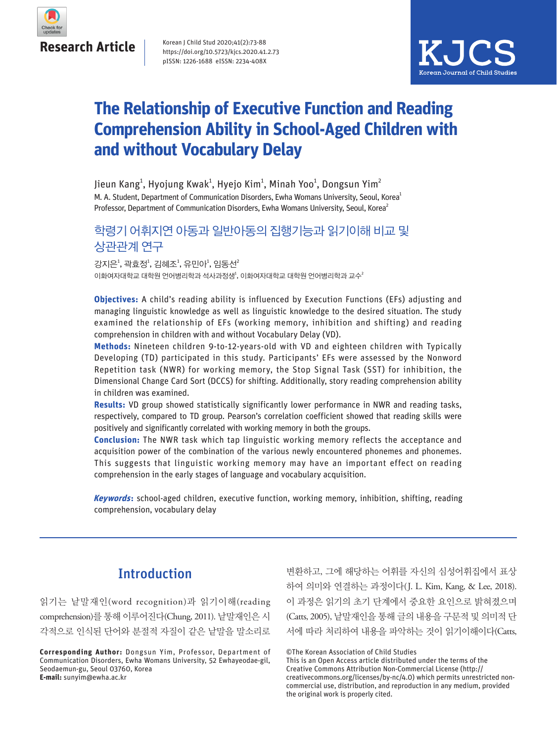

Korean J Child Stud 2020;41(2):73-88 https://doi.org/10.5723/kjcs.2020.41.2.73 pISSN: 1226-1688 eISSN: 2234-408X



## **The Relationship of Executive Function and Reading Comprehension Ability in School-Aged Children with and without Vocabulary Delay**

M. A. Student, Department of Communication Disorders, Ewha Womans University, Seoul, Korea<sup>1</sup> Professor, Department of Communication Disorders, Ewha Womans University, Seoul, Korea<sup>2</sup> Jieun Kang $^1$ , Hyojung Kwak $^1$ , Hyejo Kim $^1$ , Minah Yoo $^1$ , Dongsun Yim $^2$ 

## 학령기 어휘지연 아동과 일반아동의 집행기능과 읽기이해 비교 및 상관관계 연구

이화여자대학교 대학원 언어병리학과 석사과정생 $^{\natural}$ , 이화여자대학교 대학원 언어병리학과 교수 $^{\natural}$ 강지은<sup>1</sup>, 곽효정<sup>1</sup>, 김혜조<sup>1</sup>, 유민아<sup>1</sup>, 임동선<sup>2</sup>

**Objectives:** A child's reading ability is influenced by Execution Functions (EFs) adjusting and managing linguistic knowledge as well as linguistic knowledge to the desired situation. The study examined the relationship of EFs (working memory, inhibition and shifting) and reading comprehension in children with and without Vocabulary Delay (VD).

**Methods:** Nineteen children 9-to-12-years-old with VD and eighteen children with Typically Developing (TD) participated in this study. Participants' EFs were assessed by the Nonword Repetition task (NWR) for working memory, the Stop Signal Task (SST) for inhibition, the Dimensional Change Card Sort (DCCS) for shifting. Additionally, story reading comprehension ability in children was examined.

**Results:** VD group showed statistically significantly lower performance in NWR and reading tasks, respectively, compared to TD group. Pearson's correlation coefficient showed that reading skills were positively and significantly correlated with working memory in both the groups.

**Conclusion:** The NWR task which tap linguistic working memory reflects the acceptance and acquisition power of the combination of the various newly encountered phonemes and phonemes. This suggests that linguistic working memory may have an important effect on reading comprehension in the early stages of language and vocabulary acquisition.

**Keywords:** school-aged children, executive function, working memory, inhibition, shifting, reading comprehension, vocabulary delay

## **Introduction**

읽기는 낱말재인(word recognition)과 읽기이해(reading comprehension)를 통해 이루어진다(Chung, 2011). 낱말재인은 시 각적으로 인식된 단어와 분절적 자질이 같은 낱말을 말소리로

**Corresponding Author:** Dongsun Yim, Professor, Department of Communication Disorders, Ewha Womans University, 52 Ewhayeodae-gil, Seodaemun-gu, Seoul 03760, Korea **E-mail:** sunyim@ewha.ac.kr

변환하고, 그에 해당하는 어휘를 자신의 심성어휘집에서 표상 하여 의미와 연결하는 과정이다(J. L. Kim, Kang, & Lee, 2018). 이 과정은 읽기의 초기 단계에서 중요한 요인으로 밝혀졌으며 (Catts, 2005), 낱말재인을 통해 글의 내용을 구문적 및 의미적 단 서에 따라 처리하여 내용을 파악하는 것이 읽기이해이다(Catts,

This is an Open Access article distributed under the terms of the Creative Commons Attribution Non-Commercial License (http:// creativecommons.org/licenses/by-nc/4.0) which permits unrestricted noncommercial use, distribution, and reproduction in any medium, provided the original work is properly cited.

<sup>©</sup>The Korean Association of Child Studies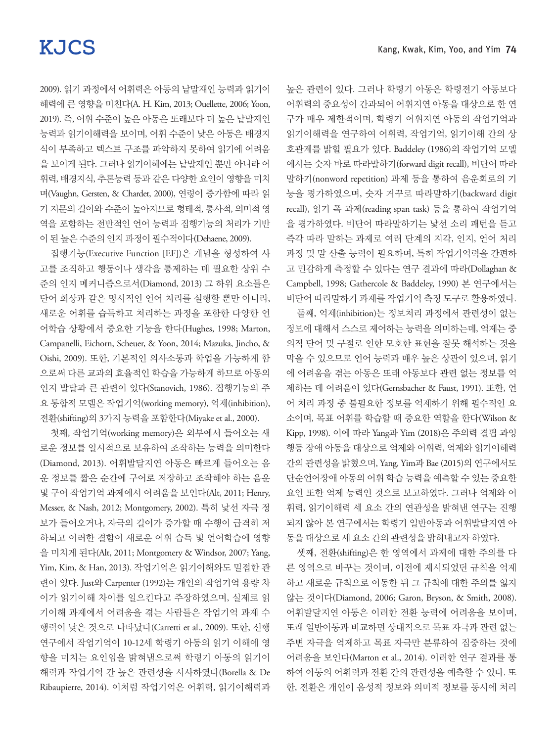높은 관련이 있다. 그러나 학령기 아동은 학령전기 아동보다 어휘력의 중요성이 간과되어 어휘지연 아동을 대상으로 한 연 구가 매우 제한적이며, 학령기 어휘지연 아동의 작업기억과 읽기이해력을 연구하여 어휘력, 작업기억, 읽기이해 간의 상 호관계를 밝힐 필요가 있다. Baddeley (1986)의 작업기억 모델 에서는 숫자 바로 따라말하기(forward digit recall), 비단어 따라 말하기(nonword repetition) 과제 등을 통하여 음운회로의 기 능을 평가하였으며, 숫자 거꾸로 따라말하기(backward digit recall), 읽기 폭 과제(reading span task) 등을 통하여 작업기억 을 평가하였다. 비단어 따라말하기는 낯선 소리 패턴을 듣고 즉각 따라 말하는 과제로 여러 단계의 지각, 인지, 언어 처리 과정 및 말 산출 능력이 필요하며, 특히 작업기억력을 간편하 고 민감하게 측정할 수 있다는 연구 결과에 따라(Dollaghan & Campbell, 1998; Gathercole & Baddeley, 1990) 본 연구에서는 비단어 따라말하기 과제를 작업기억 측정 도구로 활용하였다.

둘째, 억제(inhibition)는 정보처리 과정에서 관련성이 없는 정보에 대해서 스스로 제어하는 능력을 의미하는데, 억제는 중 의적 단어 및 구절로 인한 모호한 표현을 잘못 해석하는 것을 막을 수 있으므로 언어 능력과 매우 높은 상관이 있으며, 읽기 에 어려움을 겪는 아동은 또래 아동보다 관련 없는 정보를 억 제하는 데 어려움이 있다(Gernsbacher & Faust, 1991). 또한, 언 어 처리 과정 중 불필요한 정보를 억제하기 위해 필수적인 요 소이며, 목표 어휘를 학습할 때 중요한 역할을 한다(Wilson & Kipp, 1998). 이에 따라 Yang과 Yim (2018)은 주의력 결핍 과잉 행동 장애 아동을 대상으로 억제와 어휘력, 억제와 읽기이해력 간의 관련성을 밝혔으며, Yang, Yim과 Bae (2015)의 연구에서도 단순언어장애 아동의 어휘 학습 능력을 예측할 수 있는 중요한 요인 또한 억제 능력인 것으로 보고하였다. 그러나 억제와 어 휘력, 읽기이해력 세 요소 간의 연관성을 밝혀낸 연구는 진행 되지 않아 본 연구에서는 학령기 일반아동과 어휘발달지연 아 동을 대상으로 세 요소 간의 관련성을 밝혀내고자 하였다.

셋째, 전환(shifting)은 한 영역에서 과제에 대한 주의를 다 른 영역으로 바꾸는 것이며, 이전에 제시되었던 규칙을 억제 하고 새로운 규칙으로 이동한 뒤 그 규칙에 대한 주의를 잃지 않는 것이다(Diamond, 2006; Garon, Bryson, & Smith, 2008). 어휘발달지연 아동은 이러한 전환 능력에 어려움을 보이며, 또래 일반아동과 비교하면 상대적으로 목표 자극과 관련 없는 주변 자극을 억제하고 목표 자극만 분류하여 집중하는 것에 어려움을 보인다(Marton et al., 2014). 이러한 연구 결과를 통 하여 아동의 어휘력과 전환 간의 관련성을 예측할 수 있다. 또 한, 전환은 개인이 음성적 정보와 의미적 정보를 동시에 처리

2009). 읽기 과정에서 어휘력은 아동의 낱말재인 능력과 읽기이 해력에 큰 영향을 미친다(A. H. Kim, 2013; Ouellette, 2006; Yoon, 2019). 즉, 어휘 수준이 높은 아동은 또래보다 더 높은 낱말재인 능력과 읽기이해력을 보이며, 어휘 수준이 낮은 아동은 배경지 식이 부족하고 텍스트 구조를 파악하지 못하여 읽기에 어려움 을 보이게 된다. 그러나 읽기이해에는 낱말재인 뿐만 아니라 어 휘력, 배경지식, 추론능력 등과 같은 다양한 요인이 영향을 미치 며(Vaughn, Gersten, & Chardet, 2000), 연령이 증가함에 따라 읽 기 지문의 길이와 수준이 높아지므로 형태적, 통사적, 의미적 영 역을 포함하는 전반적인 언어 능력과 집행기능의 처리가 기반 이 된 높은 수준의 인지 과정이 필수적이다(Dehaene, 2009).

집행기능(Executive Function [EF])은 개념을 형성하여 사 고를 조직하고 행동이나 생각을 통제하는 데 필요한 상위 수 준의 인지 메커니즘으로서(Diamond, 2013) 그 하위 요소들은 단어 회상과 같은 명시적인 언어 처리를 실행할 뿐만 아니라, 새로운 어휘를 습득하고 처리하는 과정을 포함한 다양한 언 어학습 상황에서 중요한 기능을 한다(Hughes, 1998; Marton, Campanelli, Eichorn, Scheuer, & Yoon, 2014; Mazuka, Jincho, & Oishi, 2009). 또한, 기본적인 의사소통과 학업을 가능하게 함 으로써 다른 교과의 효율적인 학습을 가능하게 하므로 아동의 인지 발달과 큰 관련이 있다(Stanovich, 1986). 집행기능의 주 요 통합적 모델은 작업기억(working memory), 억제(inhibition), 전환(shifting)의 3가지 능력을 포함한다(Miyake et al., 2000).

첫째, 작업기억(working memory)은 외부에서 들어오는 새 로운 정보를 일시적으로 보유하여 조작하는 능력을 의미한다 (Diamond, 2013). 어휘발달지연 아동은 빠르게 들어오는 음 운 정보를 짧은 순간에 구어로 저장하고 조작해야 하는 음운 및 구어 작업기억 과제에서 어려움을 보인다(Alt, 2011; Henry, Messer, & Nash, 2012; Montgomery, 2002). 특히 낯선 자극 정 보가 들어오거나, 자극의 길이가 증가할 때 수행이 급격히 저 하되고 이러한 결함이 새로운 어휘 습득 및 언어학습에 영향 을 미치게 된다(Alt, 2011; Montgomery & Windsor, 2007; Yang, Yim, Kim, & Han, 2013). 작업기억은 읽기이해와도 밀접한 관 련이 있다. Just와 Carpenter (1992)는 개인의 작업기억 용량 차 이가 읽기이해 차이를 일으킨다고 주장하였으며, 실제로 읽 기이해 과제에서 어려움을 겪는 사람들은 작업기억 과제 수 행력이 낮은 것으로 나타났다(Carretti et al., 2009). 또한, 선행 연구에서 작업기억이 10-12세 학령기 아동의 읽기 이해에 영 향을 미치는 요인임을 밝혀냄으로써 학령기 아동의 읽기이 해력과 작업기억 간 높은 관련성을 시사하였다(Borella & De Ribaupierre, 2014). 이처럼 작업기억은 어휘력, 읽기이해력과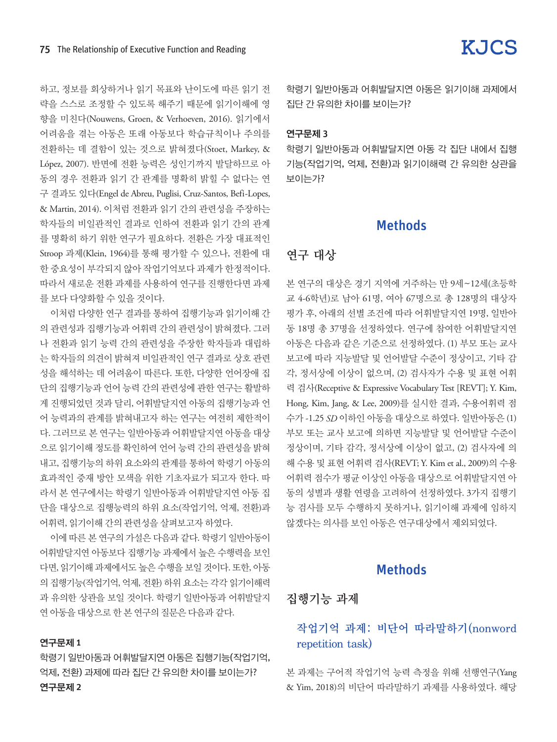하고, 정보를 회상하거나 읽기 목표와 난이도에 따른 읽기 전 략을 스스로 조정할 수 있도록 해주기 때문에 읽기이해에 영 향을 미친다(Nouwens, Groen, & Verhoeven, 2016). 읽기에서 어려움을 겪는 아동은 또래 아동보다 학습규칙이나 주의를 전환하는 데 결함이 있는 것으로 밝혀졌다(Stoet, Markey, & López, 2007). 반면에 전환 능력은 성인기까지 발달하므로 아 동의 경우 전환과 읽기 간 관계를 명확히 밝힐 수 없다는 연 구 결과도 있다(Engel de Abreu, Puglisi, Cruz-Santos, Befi-Lopes, & Martin, 2014). 이처럼 전환과 읽기 간의 관련성을 주장하는 학자들의 비일관적인 결과로 인하여 전환과 읽기 간의 관계 를 명확히 하기 위한 연구가 필요하다. 전환은 가장 대표적인 Stroop 과제(Klein, 1964)를 통해 평가할 수 있으나, 전환에 대 한 중요성이 부각되지 않아 작업기억보다 과제가 한정적이다. 따라서 새로운 전환 과제를 사용하여 연구를 진행한다면 과제 를 보다 다양화할 수 있을 것이다.

이처럼 다양한 연구 결과를 통하여 집행기능과 읽기이해 간 의 관련성과 집행기능과 어휘력 간의 관련성이 밝혀졌다. 그러 나 전환과 읽기 능력 간의 관련성을 주장한 학자들과 대립하 는 학자들의 의견이 밝혀져 비일관적인 연구 결과로 상호 관련 성을 해석하는 데 어려움이 따른다. 또한, 다양한 언어장애 집 단의 집행기능과 언어 능력 간의 관련성에 관한 연구는 활발하 게 진행되었던 것과 달리, 어휘발달지연 아동의 집행기능과 언 어 능력과의 관계를 밝혀내고자 하는 연구는 여전히 제한적이 다. 그러므로 본 연구는 일반아동과 어휘발달지연 아동을 대상 으로 읽기이해 정도를 확인하여 언어 능력 간의 관련성을 밝혀 내고, 집행기능의 하위 요소와의 관계를 통하여 학령기 아동의 효과적인 중재 방안 모색을 위한 기초자료가 되고자 한다. 따 라서 본 연구에서는 학령기 일반아동과 어휘발달지연 아동 집 단을 대상으로 집행능력의 하위 요소(작업기억, 억제, 전환)과 어휘력, 읽기이해 간의 관련성을 살펴보고자 하였다.

이에 따른 본 연구의 가설은 다음과 같다. 학령기일반아동이 어휘발달지연 아동보다 집행기능 과제에서 높은 수행력을 보인 다면, 읽기이해 과제에서도 높은 수행을 보일 것이다. 또한, 아동 의 집행기능(작업기억, 억제, 전환) 하위 요소는 각각 읽기이해력 과 유의한 상관을 보일 것이다. 학령기 일반아동과 어휘발달지 연 아동을 대상으로 한 본 연구의질문은 다음과 같다.

#### 연구문제 1

학령기 일반아동과 어휘발달지연 아동은 집행기능(작업기억, 억제, 전환) 과제에 따라 집단 간 유의한 차이를 보이는가? 연구문제 2

학령기 일반아동과 어휘발달지연 아동은 읽기이해 과제에서 집단 간 유의한 차이를 보이는가?

#### 연구문제 3

학령기 일반아동과 어휘발달지연 아동 각 집단 내에서 집행 기능(작업기억, 억제, 전환)과 읽기이해력 간 유의한 상관을 보이는가?

#### **Methods**

### 연구 대상

본 연구의 대상은 경기 지역에 거주하는 만 9세~12세(초등학 교 4-6학년)로 남아 61명, 여아 67명으로 총 128명의 대상자 평가 후, 아래의 선별 조건에 따라 어휘발달지연 19명, 일반아 동 18명 총 37명을 선정하였다. 연구에 참여한 어휘발달지연 아동은 다음과 같은 기준으로 선정하였다. (1) 부모 또는 교사 보고에 따라 지능발달 및 언어발달 수준이 정상이고, 기타 감 각, 정서상에 이상이 없으며, (2) 검사자가 수용 및 표현 어휘 력 검사(Receptive & Expressive Vocabulary Test [REVT]; Y. Kim, Hong, Kim, Jang, & Lee, 2009)를 실시한 결과, 수용어휘력 점 수가 -1.25 *SD* 이하인 아동을 대상으로 하였다. 일반아동은 (1) 부모 또는 교사 보고에 의하면 지능발달 및 언어발달 수준이 정상이며, 기타 감각, 정서상에 이상이 없고, (2) 검사자에 의 해 수용 및 표현 어휘력 검사(REVT; Y. Kim et al., 2009)의 수용 어휘력 점수가 평균 이상인 아동을 대상으로 어휘발달지연 아 동의 성별과 생활 연령을 고려하여 선정하였다. 3가지 집행기 능 검사를 모두 수행하지 못하거나, 읽기이해 과제에 임하지 않겠다는 의사를 보인 아동은 연구대상에서 제외되었다.

### **Methods**

집행기능 과제

## 작업기억 과제: 비단어 따라말하기(nonword repetition task)

본 과제는 구어적 작업기억 능력 측정을 위해 선행연구(Yang & Yim, 2018)의 비단어 따라말하기 과제를 사용하였다. 해당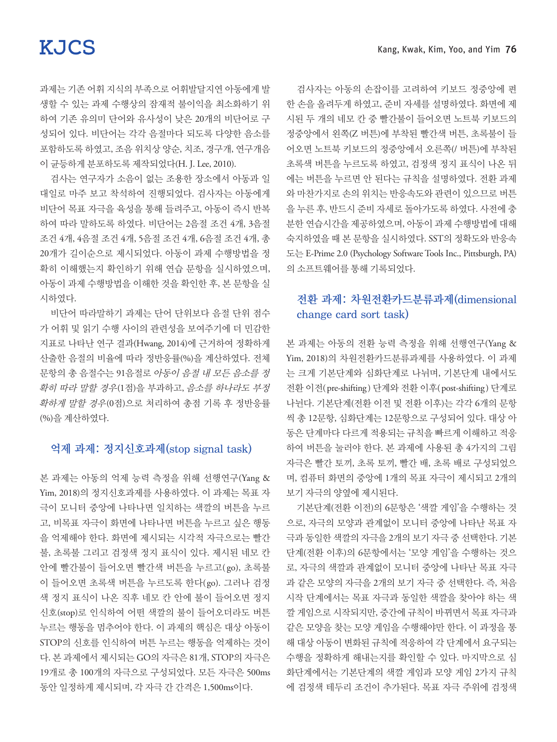과제는 기존 어휘 지식의 부족으로 어휘발달지연 아동에게 발 생할 수 있는 과제 수행상의 잠재적 불이익을 최소화하기 위 하여 기존 유의미 단어와 유사성이 낮은 20개의 비단어로 구 성되어 있다. 비단어는 각각 음절마다 되도록 다양한 음소를 포함하도록 하였고, 조음 위치상 양순, 치조, 경구개, 연구개음 이 균등하게 분포하도록 제작되었다(H. J. Lee, 2010).

검사는 연구자가 소음이 없는 조용한 장소에서 아동과 일 대일로 마주 보고 착석하여 진행되었다. 검사자는 아동에게 비단어 목표 자극을 육성을 통해 들려주고, 아동이 즉시 반복 하여 따라 말하도록 하였다. 비단어는 2음절 조건 4개, 3음절 조건 4개, 4음절 조건 4개, 5음절 조건 4개, 6음절 조건 4개, 총 20개가 길이순으로 제시되었다. 아동이 과제 수행방법을 정 확히 이해했는지 확인하기 위해 연습 문항을 실시하였으며, 아동이 과제 수행방법을 이해한 것을 확인한 후, 본 문항을 실 시하였다.

비단어 따라말하기 과제는 단어 단위보다 음절 단위 점수 가 어휘 및 읽기 수행 사이의 관련성을 보여주기에 더 민감한 지표로 나타난 연구 결과(Hwang, 2014)에 근거하여 정확하게 산출한 음절의 비율에 따라 정반응률(%)을 계산하였다. 전체 문항의 총 음절수는 91음절로 아동이 음절 내 모든 음소를 정 확히 따라 말할 경우(1점)을 부과하고, 음소를 하나라도 부정 확하게 말할 경우(0점)으로 처리하여 총점 기록 후 정반응률 (%)을 계산하였다.

#### 억제 과제: 정지신호과제(stop signal task)

본 과제는 아동의 억제 능력 측정을 위해 선행연구(Yang & Yim, 2018)의 정지신호과제를 사용하였다. 이 과제는 목표 자 극이 모니터 중앙에 나타나면 일치하는 색깔의 버튼을 누르 고, 비목표 자극이 화면에 나타나면 버튼을 누르고 싶은 행동 을 억제해야 한다. 화면에 제시되는 시각적 자극으로는 빨간 불, 초록불 그리고 검정색 정지 표식이 있다. 제시된 네모 칸 안에 빨간불이 들어오면 빨간색 버튼을 누르고(go), 초록불 이 들어오면 초록색 버튼을 누르도록 한다(go). 그러나 검정 색 정지 표식이 나온 직후 네모 칸 안에 불이 들어오면 정지 신호(stop)로 인식하여 어떤 색깔의 불이 들어오더라도 버튼 누르는 행동을 멈추어야 한다. 이 과제의 핵심은 대상 아동이 STOP의 신호를 인식하여 버튼 누르는 행동을 억제하는 것이 다. 본 과제에서 제시되는 GO의 자극은 81개, STOP의 자극은 19개로 총 100개의 자극으로 구성되었다. 모든 자극은 500ms 동안 일정하게 제시되며, 각 자극 간 간격은 1,500ms이다.

검사자는 아동의 손잡이를 고려하여 키보드 정중앙에 편 한 손을 올려두게 하였고, 준비 자세를 설명하였다. 화면에 제 시된 두 개의 네모 칸 중 빨간불이 들어오면 노트북 키보드의 정중앙에서 왼쪽(Z 버튼)에 부착된 빨간색 버튼, 초록불이 들 어오면 노트북 키보드의 정중앙에서 오른쪽(/ 버튼)에 부착된 초록색 버튼을 누르도록 하였고, 검정색 정지 표식이 나온 뒤 에는 버튼을 누르면 안 된다는 규칙을 설명하였다. 전환 과제 와 마찬가지로 손의 위치는 반응속도와 관련이 있으므로 버튼 을 누른 후, 반드시 준비 자세로 돌아가도록 하였다. 사전에 충 분한 연습시간을 제공하였으며, 아동이 과제 수행방법에 대해 숙지하였을 때 본 문항을 실시하였다. SST의 정확도와 반응속 도는 E-Prime 2.0 (Psychology Software Tools Inc., Pittsburgh, PA) 의 소프트웨어를 통해 기록되었다.

### 전환 과제: 차원전환카드분류과제(dimensional change card sort task)

본 과제는 아동의 전환 능력 측정을 위해 선행연구(Yang & Yim, 2018)의 차원전환카드분류과제를 사용하였다. 이 과제 는 크게 기본단계와 심화단계로 나뉘며, 기본단계 내에서도 전환 이전( pre-shifting ) 단계와 전환 이후( post-shifting ) 단계로 나뉜다. 기본단계(전환 이전 및 전환 이후)는 각각 6개의 문항 씩 총 12문항, 심화단계는 12문항으로 구성되어 있다. 대상 아 동은 단계마다 다르게 적용되는 규칙을 빠르게 이해하고 적응 하여 버튼을 눌러야 한다. 본 과제에 사용된 총 4가지의 그림 자극은 빨간 토끼, 초록 토끼, 빨간 배, 초록 배로 구성되었으 며, 컴퓨터 화면의 중앙에 1개의 목표 자극이 제시되고 2개의 보기 자극의 양옆에 제시된다.

기본단계(전환 이전)의 6문항은 '색깔 게임'을 수행하는 것 으로, 자극의 모양과 관계없이 모니터 중앙에 나타난 목표 자 극과 동일한 색깔의 자극을 2개의 보기 자극 중 선택한다. 기본 단계(전환 이후)의 6문항에서는 '모양 게임'을 수행하는 것으 로, 자극의 색깔과 관계없이 모니터 중앙에 나타난 목표 자극 과 같은 모양의 자극을 2개의 보기 자극 중 선택한다. 즉, 처음 시작 단계에서는 목표 자극과 동일한 색깔을 찾아야 하는 색 깔 게임으로 시작되지만, 중간에 규칙이 바뀌면서 목표 자극과 같은 모양을 찾는 모양 게임을 수행해야만 한다. 이 과정을 통 해 대상 아동이 변화된 규칙에 적응하여 각 단계에서 요구되는 수행을 정확하게 해내는지를 확인할 수 있다. 마지막으로 심 화단계에서는 기본단계의 색깔 게임과 모양 게임 2가지 규칙 에 검정색 테두리 조건이 추가된다. 목표 자극 주위에 검정색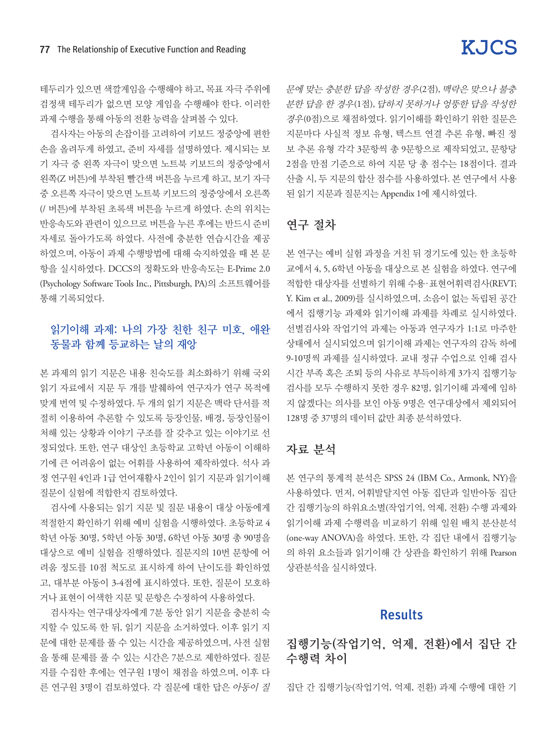테두리가 있으면 색깔게임을 수행해야 하고, 목표 자극 주위에 검정색 테두리가 없으면 모양 게임을 수행해야 한다. 이러한 과제 수행을 통해 아동의 전환 능력을 살펴볼 수 있다.

검사자는 아동의 손잡이를 고려하여 키보드 정중앙에 편한 손을 올려두게 하였고, 준비 자세를 설명하였다. 제시되는 보 기 자극 중 왼쪽 자극이 맞으면 노트북 키보드의 정중앙에서 왼쪽(Z 버튼)에 부착된 빨간색 버튼을 누르게 하고, 보기 자극 중 오른쪽 자극이 맞으면 노트북 키보드의 정중앙에서 오른쪽 (/ 버튼)에 부착된 초록색 버튼을 누르게 하였다. 손의 위치는 반응속도와 관련이 있으므로 버튼을 누른 후에는 반드시 준비 자세로 돌아가도록 하였다. 사전에 충분한 연습시간을 제공 하였으며, 아동이 과제 수행방법에 대해 숙지하였을 때 본 문 항을 실시하였다. DCCS의 정확도와 반응속도는 E-Prime 2.0 (Psychology Software Tools Inc., Pittsburgh, PA)의 소프트웨어를 통해 기록되었다.

### 읽기이해 과제: 나의 가장 친한 친구 미호, 애완 동물과 함께 등교하는 날의 재앙

본 과제의 읽기 지문은 내용 친숙도를 최소화하기 위해 국외 읽기 자료에서 지문 두 개를 발췌하여 연구자가 연구 목적에 맞게 번역 및 수정하였다. 두 개의 읽기 지문은 맥락 단서를 적 절히 이용하여 추론할 수 있도록 등장인물, 배경, 등장인물이 처해 있는 상황과 이야기 구조를 잘 갖추고 있는 이야기로 선 정되었다. 또한, 연구 대상인 초등학교 고학년 아동이 이해하 기에 큰 어려움이 없는 어휘를 사용하여 제작하였다. 석사 과 정 연구원 4인과 1급 언어재활사 2인이 읽기 지문과 읽기이해 질문이 실험에 적합한지 검토하였다.

검사에 사용되는 읽기 지문 및 질문 내용이 대상 아동에게 적절한지 확인하기 위해 예비 실험을 시행하였다. 초등학교 4 학년 아동 30명, 5학년 아동 30명, 6학년 아동 30명 총 90명을 대상으로 예비 실험을 진행하였다. 질문지의 10번 문항에 어 려움 정도를 10점 척도로 표시하게 하여 난이도를 확인하였 고, 대부분 아동이 3-4점에 표시하였다. 또한, 질문이 모호하 거나 표현이 어색한 지문 및 문항은 수정하여 사용하였다.

검사자는 연구대상자에게 7분 동안 읽기 지문을 충분히 숙 지할 수 있도록 한 뒤, 읽기 지문을 소거하였다. 이후 읽기 지 문에 대한 문제를 풀 수 있는 시간을 제공하였으며, 사전 실험 을 통해 문제를 풀 수 있는 시간은 7분으로 제한하였다. 질문 지를 수집한 후에는 연구원 1명이 채점을 하였으며, 이후 다 른 연구원 3명이 검토하였다. 각 질문에 대한 답은 아동이 질 문에 맞는 충분한 답을 작성한 경우(2점), 맥락은 맞으나 불충 분한 답을 한 경우(1점), 답하지 못하거나 엉뚱한 답을 작성한 경우(0점)으로 채점하였다. 읽기이해를 확인하기 위한 질문은 지문마다 사실적 정보 유형, 텍스트 연결 추론 유형, 빠진 정 보 추론 유형 각각 3문항씩 총 9문항으로 제작되었고, 문항당 2점을 만점 기준으로 하여 지문 당 총 점수는 18점이다. 결과 산출 시, 두 지문의 합산 점수를 사용하였다. 본 연구에서 사용 된 읽기 지문과 질문지는 Appendix 1에 제시하였다.

## 연구 절차

본 연구는 예비 실험 과정을 거친 뒤 경기도에 있는 한 초등학 교에서 4, 5, 6학년 아동을 대상으로 본 실험을 하였다. 연구에 적합한 대상자를 선별하기 위해 수용·표현어휘력검사(REVT; Y. Kim et al., 2009)를 실시하였으며, 소음이 없는 독립된 공간 에서 집행기능 과제와 읽기이해 과제를 차례로 실시하였다. 선별검사와 작업기억 과제는 아동과 연구자가 1:1로 마주한 상태에서 실시되었으며 읽기이해 과제는 연구자의 감독 하에 9-10명씩 과제를 실시하였다. 교내 정규 수업으로 인해 검사 시간 부족 혹은 조퇴 등의 사유로 부득이하게 3가지 집행기능 검사를 모두 수행하지 못한 경우 82명, 읽기이해 과제에 임하 지 않겠다는 의사를 보인 아동 9명은 연구대상에서 제외되어 128명 중 37명의 데이터 값만 최종 분석하였다.

#### 자료 분석

본 연구의 통계적 분석은 SPSS 24 (IBM Co., Armonk, NY)을 사용하였다. 먼저, 어휘발달지연 아동 집단과 일반아동 집단 간 집행기능의 하위요소별(작업기억, 억제, 전환) 수행 과제와 읽기이해 과제 수행력을 비교하기 위해 일원 배치 분산분석 (one-way ANOVA)을 하였다. 또한, 각 집단 내에서 집행기능 의 하위 요소들과 읽기이해 간 상관을 확인하기 위해 Pearson 상관분석을 실시하였다.

#### Results

집행기능(작업기억, 억제, 전환)에서 집단 간 수행력 차이

집단 간 집행기능(작업기억, 억제, 전환) 과제 수행에 대한 기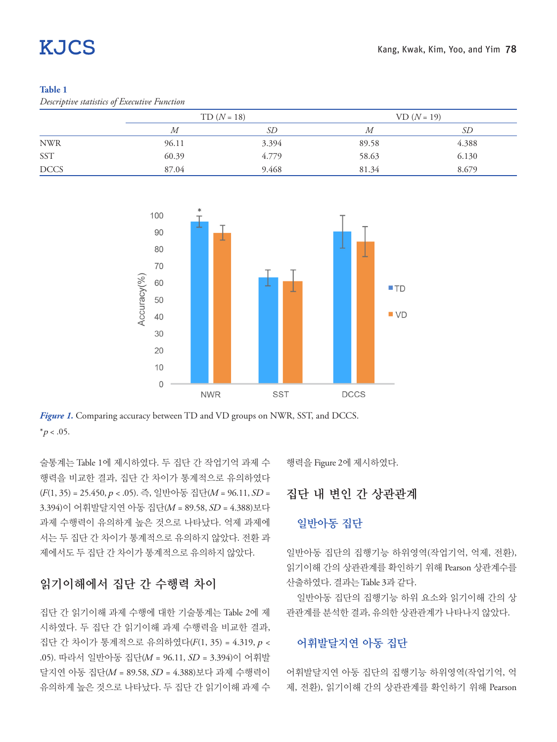#### **Table 1**

#### *Descriptive statistics of Executive Function*

|             | $TD (N = 18)$ |       | $VD (N = 19)$ |       |
|-------------|---------------|-------|---------------|-------|
|             | М             | SD    | М             | SD    |
| <b>NWR</b>  | 96.11         | 3.394 | 89.58         | 4.388 |
| <b>SST</b>  | 60.39         | 4.779 | 58.63         | 6.130 |
| <b>DCCS</b> | 87.04         | 9.468 | 81.34         | 8.679 |



*Figure 1*. Comparing accuracy between TD and VD groups on NWR, SST, and DCCS.  $*_{p < .05}$ .

술통계는 Table 1에 제시하였다. 두 집단 간 작업기억 과제 수 행력을 비교한 결과, 집단 간 차이가 통계적으로 유의하였다  $(F(1, 35) = 25.450, p < .05)$ . 즉, 일반아동 집단(M = 96.11, SD = 3.394)이 어휘발달지연 아동 집단(M = 89.58, SD = 4.388)보다 과제 수행력이 유의하게 높은 것으로 나타났다. 억제 과제에 서는 두 집단 간 차이가 통계적으로 유의하지 않았다. 전환 과 제에서도 두 집단 간 차이가 통계적으로 유의하지 않았다.

## 읽기이해에서 집단 간 수행력 차이

집단 간 읽기이해 과제 수행에 대한 기술통계는 Table 2에 제 시하였다. 두 집단 간 읽기이해 과제 수행력을 비교한 결과, 집단 간 차이가 통계적으로 유의하였다(F(1, 35) = 4.319, p < .05). 따라서 일반아동 집단(M = 96.11, SD = 3.394)이 어휘발 달지연 아동 집단(M = 89.58, SD = 4.388)보다 과제 수행력이 유의하게 높은 것으로 나타났다. 두 집단 간 읽기이해 과제 수

행력을 Figure 2에 제시하였다.

#### 집단 내 변인 간 상관관계

#### 일반아동 집단

일반아동 집단의 집행기능 하위영역(작업기억, 억제, 전환), 읽기이해 간의 상관관계를 확인하기 위해 Pearson 상관계수를 산출하였다. 결과는 Table 3과 같다.

일반아동 집단의 집행기능 하위 요소와 읽기이해 간의 상 관관계를 분석한 결과, 유의한 상관관계가 나타나지 않았다.

#### 어휘발달지연 아동 집단

어휘발달지연 아동 집단의 집행기능 하위영역(작업기억, 억 제, 전환), 읽기이해 간의 상관관계를 확인하기 위해 Pearson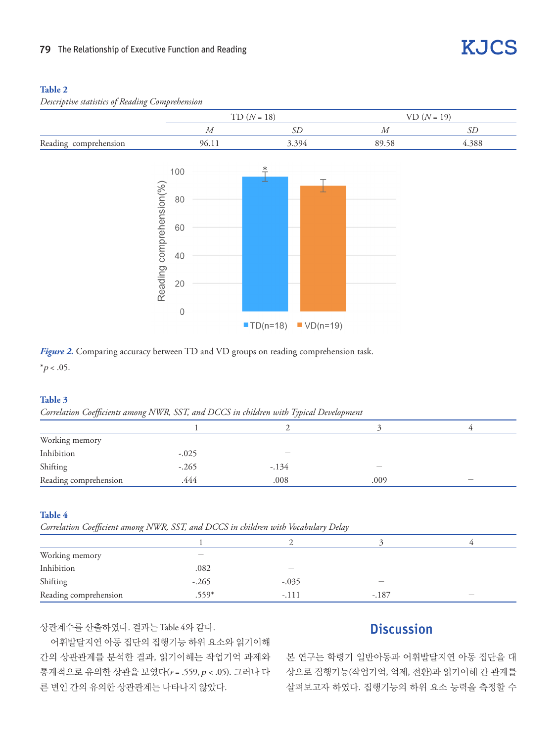#### **Table 2**

*Descriptive statistics of Reading Comprehension*





*Figure 2.* Comparing accuracy between TD and VD groups on reading comprehension task.  $*_{p < .05}$ .

#### **Table 3**

*Correlation Coefficients among NWR, SST, and DCCS in children with Typical Development*

| Working memory        | $\overline{\phantom{0}}$ |        |      |     |
|-----------------------|--------------------------|--------|------|-----|
| Inhibition            | $-.025$                  |        |      |     |
| Shifting              | $-.265$                  | $-134$ |      |     |
| Reading comprehension | .444                     | .008   | .009 | $-$ |

#### **Table 4**

*Correlation Coefficient among NWR, SST, and DCCS in children with Vocabulary Delay*

| Working memory        | _       |                          |         |  |
|-----------------------|---------|--------------------------|---------|--|
| Inhibition            | .082    | $\overline{\phantom{a}}$ |         |  |
| Shifting              | $-.265$ | $-.035$                  |         |  |
| Reading comprehension | $.559*$ | $-.111$                  | $-.187$ |  |

상관계수를 산출하였다. 결과는 Table 4와 같다.

## **Discussion**

**KJCS** 

어휘발달지연 아동 집단의 집행기능 하위 요소와 읽기이해 간의 상관관계를 분석한 결과, 읽기이해는 작업기억 과제와 통계적으로 유의한 상관을 보였다( *r* = .559, p < .05). 그러나 다 른 변인 간의 유의한 상관관계는 나타나지 않았다.

본 연구는 학령기 일반아동과 어휘발달지연 아동 집단을 대 상으로 집행기능(작업기억, 억제, 전환)과 읽기이해 간 관계를 살펴보고자 하였다. 집행기능의 하위 요소 능력을 측정할 수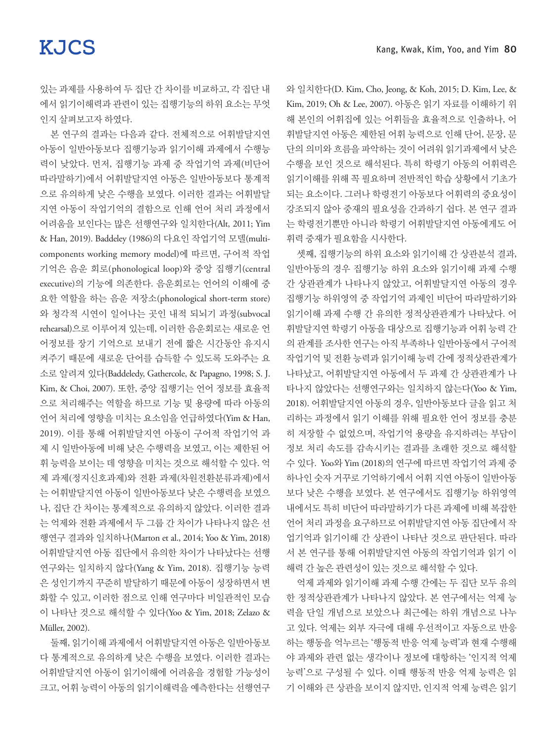있는 과제를 사용하여 두 집단 간 차이를 비교하고, 각 집단 내 에서 읽기이해력과 관련이 있는 집행기능의 하위 요소는 무엇 인지 살펴보고자 하였다.

본 연구의 결과는 다음과 같다. 전체적으로 어휘발달지연 아동이 일반아동보다 집행기능과 읽기이해 과제에서 수행능 력이 낮았다. 먼저, 집행기능 과제 중 작업기억 과제(비단어 따라말하기)에서 어휘발달지연 아동은 일반아동보다 통계적 으로 유의하게 낮은 수행을 보였다. 이러한 결과는 어휘발달 지연 아동이 작업기억의 결함으로 인해 언어 처리 과정에서 어려움을 보인다는 많은 선행연구와 일치한다(Alt, 2011; Yim & Han, 2019). Baddeley (1986)의 다요인 작업기억 모델(multicomponents working memory model)에 따르면, 구어적 작업 기억은 음운 회로(phonological loop)와 중앙 집행기(central executive)의 기능에 의존한다. 음운회로는 언어의 이해에 중 요한 역할을 하는 음운 저장소( phonological short-term store) 와 청각적 시연이 일어나는 곳인 내적 되뇌기 과정(subvocal rehearsal)으로 이루어져 있는데, 이러한 음운회로는 새로운 언 어정보를 장기 기억으로 보내기 전에 짧은 시간동안 유지시 켜주기 때문에 새로운 단어를 습득할 수 있도록 도와주는 요 소로 알려져 있다(Baddeledy, Gathercole, & Papagno, 1998; S. J. Kim, & Choi, 2007). 또한, 중앙 집행기는 언어 정보를 효율적 으로 처리해주는 역할을 하므로 기능 및 용량에 따라 아동의 언어 처리에 영향을 미치는 요소임을 언급하였다(Yim & Han, 2019). 이를 통해 어휘발달지연 아동이 구어적 작업기억 과 제 시 일반아동에 비해 낮은 수행력을 보였고, 이는 제한된 어 휘 능력을 보이는 데 영향을 미치는 것으로 해석할 수 있다. 억 제 과제(정지신호과제)와 전환 과제(차원전환분류과제)에서 는 어휘발달지연 아동이 일반아동보다 낮은 수행력을 보였으 나, 집단 간 차이는 통계적으로 유의하지 않았다. 이러한 결과 는 억제와 전환 과제에서 두 그룹 간 차이가 나타나지 않은 선 행연구 결과와 일치하나(Marton et al., 2014; Yoo & Yim, 2018) 어휘발달지연 아동 집단에서 유의한 차이가 나타났다는 선행 연구와는 일치하지 않다(Yang & Yim, 2018). 집행기능 능력 은 성인기까지 꾸준히 발달하기 때문에 아동이 성장하면서 변 화할 수 있고, 이러한 점으로 인해 연구마다 비일관적인 모습 이 나타난 것으로 해석할 수 있다(Yoo & Yim, 2018; Zelazo & Müller, 2002).

둘째, 읽기이해 과제에서 어휘발달지연 아동은 일반아동보 다 통계적으로 유의하게 낮은 수행을 보였다. 이러한 결과는 어휘발달지연 아동이 읽기이해에 어려움을 경험할 가능성이 크고, 어휘 능력이 아동의 읽기이해력을 예측한다는 선행연구 와 일치한다(D. Kim, Cho, Jeong, & Koh, 2015; D. Kim, Lee, & Kim, 2019; Oh & Lee, 2007). 아동은 읽기 자료를 이해하기 위 해 본인의 어휘집에 있는 어휘들을 효율적으로 인출하나, 어 휘발달지연 아동은 제한된 어휘 능력으로 인해 단어, 문장, 문 단의 의미와 흐름을 파악하는 것이 어려워 읽기과제에서 낮은 수행을 보인 것으로 해석된다. 특히 학령기 아동의 어휘력은 읽기이해를 위해 꼭 필요하며 전반적인 학습 상황에서 기초가 되는 요소이다. 그러나 학령전기 아동보다 어휘력의 중요성이 강조되지 않아 중재의 필요성을 간과하기 쉽다. 본 연구 결과 는 학령전기뿐만 아니라 학령기 어휘발달지연 아동에게도 어 휘력 중재가 필요함을 시사한다.

셋째, 집행기능의 하위 요소와 읽기이해 간 상관분석 결과, 일반아동의 경우 집행기능 하위 요소와 읽기이해 과제 수행 간 상관관계가 나타나지 않았고, 어휘발달지연 아동의 경우 집행기능 하위영역 중 작업기억 과제인 비단어 따라말하기와 읽기이해 과제 수행 간 유의한 정적상관관계가 나타났다. 어 휘발달지연 학령기 아동을 대상으로 집행기능과 어휘 능력 간 의 관계를 조사한 연구는 아직 부족하나 일반아동에서 구어적 작업기억 및 전환 능력과 읽기이해 능력 간에 정적상관관계가 나타났고, 어휘발달지연 아동에서 두 과제 간 상관관계가 나 타나지 않았다는 선행연구와는 일치하지 않는다(Yoo & Yim, 2018). 어휘발달지연 아동의 경우, 일반아동보다 글을 읽고 처 리하는 과정에서 읽기 이해를 위해 필요한 언어 정보를 충분 히 저장할 수 없었으며, 작업기억 용량을 유지하려는 부담이 정보 처리 속도를 감속시키는 결과를 초래한 것으로 해석할 수 있다. Yoo와 Yim (2018)의 연구에 따르면 작업기억 과제 중 하나인 숫자 거꾸로 기억하기에서 어휘 지연 아동이 일반아동 보다 낮은 수행을 보였다. 본 연구에서도 집행기능 하위영역 내에서도 특히 비단어 따라말하기가 다른 과제에 비해 복잡한 언어 처리 과정을 요구하므로 어휘발달지연 아동 집단에서 작 업기억과 읽기이해 간 상관이 나타난 것으로 판단된다. 따라 서 본 연구를 통해 어휘발달지연 아동의 작업기억과 읽기 이 해력 간 높은 관련성이 있는 것으로 해석할 수 있다.

억제 과제와 읽기이해 과제 수행 간에는 두 집단 모두 유의 한 정적상관관계가 나타나지 않았다. 본 연구에서는 억제 능 력을 단일 개념으로 보았으나 최근에는 하위 개념으로 나누 고 있다. 억제는 외부 자극에 대해 우선적이고 자동으로 반응 하는 행동을 억누르는 '행동적 반응 억제 능력'과 현재 수행해 야 과제와 관련 없는 생각이나 정보에 대항하는 '인지적 억제 능력'으로 구성될 수 있다. 이때 행동적 반응 억제 능력은 읽 기 이해와 큰 상관을 보이지 않지만, 인지적 억제 능력은 읽기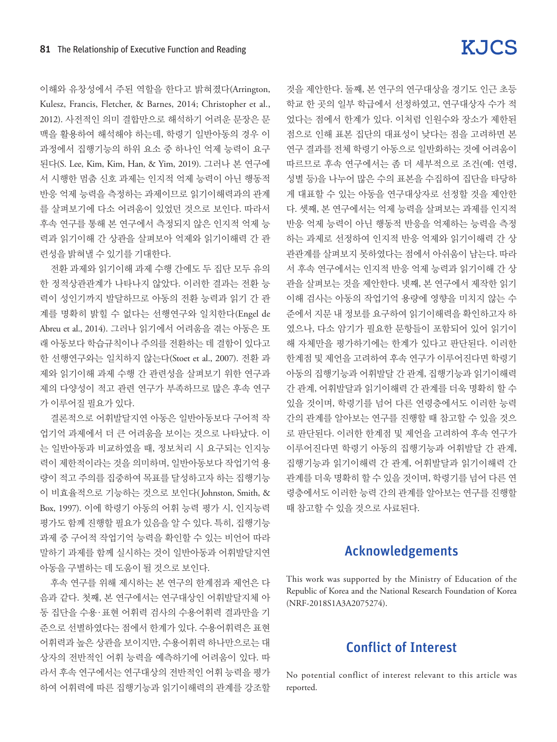이해와 유창성에서 주된 역할을 한다고 밝혀졌다(Arrington, Kulesz, Francis, Fletcher, & Barnes, 2014; Christopher et al., 2012). 사전적인 의미 결합만으로 해석하기 어려운 문장은 문 맥을 활용하여 해석해야 하는데, 학령기 일반아동의 경우 이 과정에서 집행기능의 하위 요소 중 하나인 억제 능력이 요구 된다(S. Lee, Kim, Kim, Han, & Yim, 2019). 그러나 본 연구에 서 시행한 멈춤 신호 과제는 인지적 억제 능력이 아닌 행동적 반응 억제 능력을 측정하는 과제이므로 읽기이해력과의 관계 를 살펴보기에 다소 어려움이 있었던 것으로 보인다. 따라서 후속 연구를 통해 본 연구에서 측정되지 않은 인지적 억제 능 력과 읽기이해 간 상관을 살펴보아 억제와 읽기이해력 간 관 련성을 밝혀낼 수 있기를 기대한다.

전환 과제와 읽기이해 과제 수행 간에도 두 집단 모두 유의 한 정적상관관계가 나타나지 않았다. 이러한 결과는 전환 능 력이 성인기까지 발달하므로 아동의 전환 능력과 읽기 간 관 계를 명확히 밝힐 수 없다는 선행연구와 일치한다(Engel de Abreu et al., 2014). 그러나 읽기에서 어려움을 겪는 아동은 또 래 아동보다 학습규칙이나 주의를 전환하는 데 결함이 있다고 한 선행연구와는 일치하지 않는다(Stoet et al., 2007). 전환 과 제와 읽기이해 과제 수행 간 관련성을 살펴보기 위한 연구과 제의 다양성이 적고 관련 연구가 부족하므로 많은 후속 연구 가 이루어질 필요가 있다.

결론적으로 어휘발달지연 아동은 일반아동보다 구어적 작 업기억 과제에서 더 큰 어려움을 보이는 것으로 나타났다. 이 는 일반아동과 비교하였을 때, 정보처리 시 요구되는 인지능 력이 제한적이라는 것을 의미하며, 일반아동보다 작업기억 용 량이 적고 주의를 집중하여 목표를 달성하고자 하는 집행기능 이 비효율적으로 기능하는 것으로 보인다( Johnston, Smith, & Box, 1997). 이에 학령기 아동의 어휘 능력 평가 시, 인지능력 평가도 함께 진행할 필요가 있음을 알 수 있다. 특히, 집행기능 과제 중 구어적 작업기억 능력을 확인할 수 있는 비언어 따라 말하기 과제를 함께 실시하는 것이 일반아동과 어휘발달지연 아동을 구별하는 데 도움이 될 것으로 보인다.

후속 연구를 위해 제시하는 본 연구의 한계점과 제언은 다 음과 같다. 첫째, 본 연구에서는 연구대상인 어휘발달지체 아 동 집단을 수용·표현 어휘력 검사의 수용어휘력 결과만을 기 준으로 선별하였다는 점에서 한계가 있다. 수용어휘력은 표현 어휘력과 높은 상관을 보이지만, 수용어휘력 하나만으로는 대 상자의 전반적인 어휘 능력을 예측하기에 어려움이 있다. 따 라서 후속 연구에서는 연구대상의 전반적인 어휘 능력을 평가 하여 어휘력에 따른 집행기능과 읽기이해력의 관계를 강조할

것을 제안한다. 둘째, 본 연구의 연구대상을 경기도 인근 초등 학교 한 곳의 일부 학급에서 선정하였고, 연구대상자 수가 적 었다는 점에서 한계가 있다. 이처럼 인원수와 장소가 제한된 점으로 인해 표본 집단의 대표성이 낮다는 점을 고려하면 본 연구 결과를 전체 학령기 아동으로 일반화하는 것에 어려움이 따르므로 후속 연구에서는 좀 더 세부적으로 조건(예: 연령, 성별 등)을 나누어 많은 수의 표본을 수집하여 집단을 타당하 게 대표할 수 있는 아동을 연구대상자로 선정할 것을 제안한 다. 셋째, 본 연구에서는 억제 능력을 살펴보는 과제를 인지적 반응 억제 능력이 아닌 행동적 반응을 억제하는 능력을 측정 하는 과제로 선정하여 인지적 반응 억제와 읽기이해력 간 상 관관계를 살펴보지 못하였다는 점에서 아쉬움이 남는다. 따라 서 후속 연구에서는 인지적 반응 억제 능력과 읽기이해 간 상 관을 살펴보는 것을 제안한다. 넷째, 본 연구에서 제작한 읽기 이해 검사는 아동의 작업기억 용량에 영향을 미치지 않는 수 준에서 지문 내 정보를 요구하여 읽기이해력을 확인하고자 하 였으나, 다소 암기가 필요한 문항들이 포함되어 있어 읽기이 해 자체만을 평가하기에는 한계가 있다고 판단된다. 이러한 한계점 및 제언을 고려하여 후속 연구가 이루어진다면 학령기 아동의 집행기능과 어휘발달 간 관계, 집행기능과 읽기이해력 간 관계, 어휘발달과 읽기이해력 간 관계를 더욱 명확히 할 수 있을 것이며, 학령기를 넘어 다른 연령층에서도 이러한 능력 간의 관계를 알아보는 연구를 진행할 때 참고할 수 있을 것으 로 판단된다. 이러한 한계점 및 제언을 고려하여 후속 연구가 이루어진다면 학령기 아동의 집행기능과 어휘발달 간 관계, 집행기능과 읽기이해력 간 관계, 어휘발달과 읽기이해력 간 관계를 더욱 명확히 할 수 있을 것이며, 학령기를 넘어 다른 연 령층에서도 이러한 능력 간의 관계를 알아보는 연구를 진행할 때 참고할 수 있을 것으로 사료된다.

## Acknowledgements

This work was supported by the Ministry of Education of the Republic of Korea and the National Research Foundation of Korea (NRF-2018S1A3A2075274).

## Conflict of Interest

No potential conflict of interest relevant to this article was reported.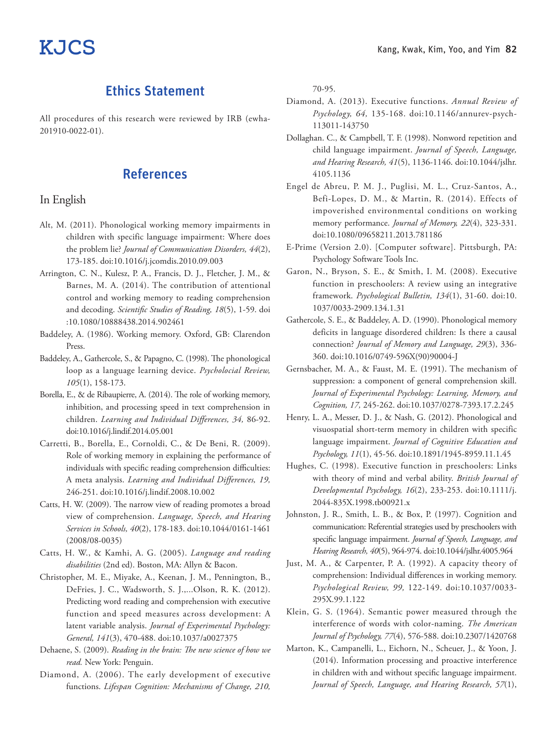## Ethics Statement

All procedures of this research were reviewed by IRB (ewha-201910-0022-01).

## References

### In English

- Alt, M. (2011). Phonological working memory impairments in children with specific language impairment: Where does the problem lie? *Journal of Communication Disorders, 44*(2), 173-185. doi:10.1016/j.jcomdis.2010.09.003
- Arrington, C. N., Kulesz, P. A., Francis, D. J., Fletcher, J. M., & Barnes, M. A. (2014). The contribution of attentional control and working memory to reading comprehension and decoding. *Scientific Studies of Reading, 18*(5), 1-59. doi :10.1080/10888438.2014.902461
- Baddeley, A. (1986). Working memory. Oxford, GB: Clarendon Press.
- Baddeley, A., Gathercole, S., & Papagno, C. (1998). The phonological loop as a language learning device. *Psycholocial Review, 105*(1), 158-173.
- Borella, E., & de Ribaupierre, A. (2014). The role of working memory, inhibition, and processing speed in text comprehension in children. *Learning and Individual Differences, 34,* 86-92. doi:10.1016/j.lindif.2014.05.001
- Carretti, B., Borella, E., Cornoldi, C., & De Beni, R. (2009). Role of working memory in explaining the performance of individuals with specific reading comprehension difficulties: A meta analysis. *Learning and Individual Differences, 19,*  246-251. doi:10.1016/j.lindif.2008.10.002
- Catts, H. W. (2009). The narrow view of reading promotes a broad view of comprehension. *Language, Speech, and Hearing Services in Schools, 40*(2), 178-183. doi:10.1044/0161-1461 (2008/08-0035)
- Catts, H. W., & Kamhi, A. G. (2005). *Language and reading disabilities* (2nd ed). Boston, MA: Allyn & Bacon.
- Christopher, M. E., Miyake, A., Keenan, J. M., Pennington, B., DeFries, J. C., Wadsworth, S. J.,...Olson, R. K. (2012). Predicting word reading and comprehension with executive function and speed measures across development: A latent variable analysis. *Journal of Experimental Psychology: General, 141*(3), 470-488. doi:10.1037/a0027375
- Dehaene, S. (2009). *Reading in the brain: The new science of how we read.* New York: Penguin.
- Diamond, A. (2006). The early development of executive functions. *Lifespan Cognition: Mechanisms of Change, 210,*

70-95.

- Diamond, A. (2013). Executive functions. *Annual Review of Psychology, 64,* 135-168. doi:10.1146/annurev-psych-113011-143750
- Dollaghan. C., & Campbell, T. F. (1998). Nonword repetition and child language impairment. *Journal of Speech, Language, and Hearing Research, 41*(5), 1136-1146. doi:10.1044/jslhr. 4105.1136
- Engel de Abreu, P. M. J., Puglisi, M. L., Cruz-Santos, A., Befi-Lopes, D. M., & Martin, R. (2014). Effects of impoverished environmental conditions on working memory performance. *Journal of Memory, 22*(4), 323-331. doi:10.1080/09658211.2013.781186
- E-Prime (Version 2.0). [Computer software]. Pittsburgh, PA: Psychology Software Tools Inc.
- Garon, N., Bryson, S. E., & Smith, I. M. (2008). Executive function in preschoolers: A review using an integrative framework. *Psychological Bulletin, 134*(1), 31-60. doi:10. 1037/0033-2909.134.1.31
- Gathercole, S. E., & Baddeley, A. D. (1990). Phonological memory deficits in language disordered children: Is there a causal connection? *Journal of Memory and Language, 29*(3), 336- 360. doi:10.1016/0749-596X(90)90004-J
- Gernsbacher, M. A., & Faust, M. E. (1991). The mechanism of suppression: a component of general comprehension skill. *Journal of Experimental Psychology: Learning, Memory, and Cognition, 17,* 245-262. doi:10.1037/0278-7393.17.2.245
- Henry, L. A., Messer, D. J., & Nash, G. (2012). Phonological and visuospatial short-term memory in children with specific language impairment. *Journal of Cognitive Education and Psychology, 11*(1), 45-56. doi:10.1891/1945-8959.11.1.45
- Hughes, C. (1998). Executive function in preschoolers: Links with theory of mind and verbal ability. *British Journal of Developmental Psychology, 16*(2), 233-253. doi:10.1111/j. 2044-835X.1998.tb00921.x
- Johnston, J. R., Smith, L. B., & Box, P. (1997). Cognition and communication: Referential strategies used by preschoolers with specific language impairment. *Journal of Speech, Language, and Hearing Research, 40*(5), 964-974. doi:10.1044/jslhr.4005.964
- Just, M. A., & Carpenter, P. A. (1992). A capacity theory of comprehension: Individual differences in working memory. *Psychological Review, 99,* 122-149. doi:10.1037/0033- 295X.99.1.122
- Klein, G. S. (1964). Semantic power measured through the interference of words with color-naming. *The American Journal of Psychology, 77*(4), 576-588. doi:10.2307/1420768
- Marton, K., Campanelli, L., Eichorn, N., Scheuer, J., & Yoon, J. (2014). Information processing and proactive interference in children with and without specific language impairment. *Journal of Speech, Language, and Hearing Research, 57*(1),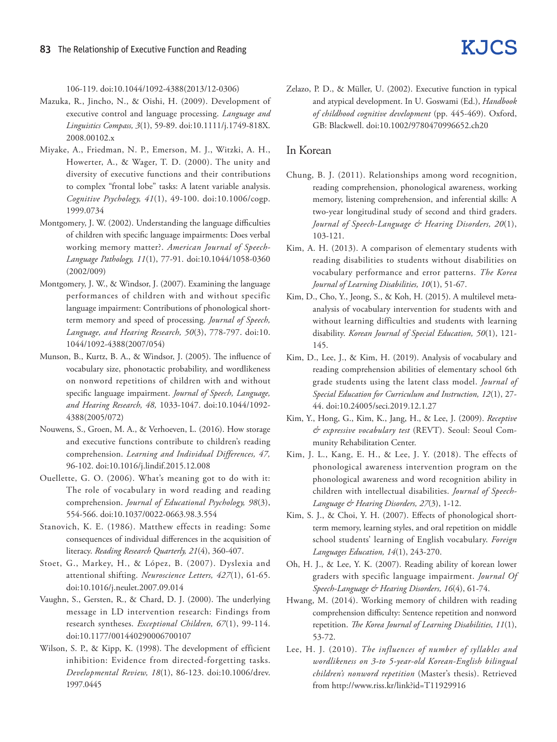106-119. doi:10.1044/1092-4388(2013/12-0306)

- Mazuka, R., Jincho, N., & Oishi, H. (2009). Development of executive control and language processing. *Language and Linguistics Compass, 3*(1), 59-89. doi:10.1111/j.1749-818X. 2008.00102.x
- Miyake, A., Friedman, N. P., Emerson, M. J., Witzki, A. H., Howerter, A., & Wager, T. D. (2000). The unity and diversity of executive functions and their contributions to complex "frontal lobe" tasks: A latent variable analysis. *Cognitive Psychology, 41*(1), 49-100. doi:10.1006/cogp. 1999.0734
- Montgomery, J. W. (2002). Understanding the language difficulties of children with specific language impairments: Does verbal working memory matter?. *American Journal of Speech-Language Pathology, 11*(1), 77-91. doi:10.1044/1058-0360 (2002/009)
- Montgomery, J. W., & Windsor, J. (2007). Examining the language performances of children with and without specific language impairment: Contributions of phonological shortterm memory and speed of processing. *Journal of Speech, Language, and Hearing Research, 50*(3), 778-797. doi:10. 1044/1092-4388(2007/054)
- Munson, B., Kurtz, B. A., & Windsor, J. (2005). The influence of vocabulary size, phonotactic probability, and wordlikeness on nonword repetitions of children with and without specific language impairment. *Journal of Speech, Language, and Hearing Research, 48,* 1033-1047. doi:10.1044/1092- 4388(2005/072)
- Nouwens, S., Groen, M. A., & Verhoeven, L. (2016). How storage and executive functions contribute to children's reading comprehension. *Learning and Individual Differences, 47,*  96-102. doi:10.1016/j.lindif.2015.12.008
- Ouellette, G. O. (2006). What's meaning got to do with it: The role of vocabulary in word reading and reading comprehension. *Journal of Educational Psychology, 98*(3), 554-566. doi:10.1037/0022-0663.98.3.554
- Stanovich, K. E. (1986). Matthew effects in reading: Some consequences of individual differences in the acquisition of literacy. *Reading Research Quarterly, 21*(4), 360-407.
- Stoet, G., Markey, H., & López, B. (2007). Dyslexia and attentional shifting. *Neuroscience Letters, 427*(1), 61-65. doi:10.1016/j.neulet.2007.09.014
- Vaughn, S., Gersten, R., & Chard, D. J. (2000). The underlying message in LD intervention research: Findings from research syntheses. *Exceptional Children, 67*(1), 99-114. doi:10.1177/001440290006700107
- Wilson, S. P., & Kipp, K. (1998). The development of efficient inhibition: Evidence from directed-forgetting tasks. *Developmental Review, 18*(1), 86-123. doi:10.1006/drev. 1997.0445

Zelazo, P. D., & Müller, U. (2002). Executive function in typical and atypical development. In U. Goswami (Ed.), *Handbook of childhood cognitive development* (pp. 445-469). Oxford, GB: Blackwell. doi:10.1002/9780470996652.ch20

#### In Korean

- Chung, B. J. (2011). Relationships among word recognition, reading comprehension, phonological awareness, working memory, listening comprehension, and inferential skills: A two-year longitudinal study of second and third graders. *Journal of Speech-Language & Hearing Disorders, 20*(1), 103-121.
- Kim, A. H. (2013). A comparison of elementary students with reading disabilities to students without disabilities on vocabulary performance and error patterns. *The Korea Journal of Learning Disabilities, 10*(1), 51-67.
- Kim, D., Cho, Y., Jeong, S., & Koh, H. (2015). A multilevel metaanalysis of vocabulary intervention for students with and without learning difficulties and students with learning disability. *Korean Journal of Special Education, 50*(1), 121- 145.
- Kim, D., Lee, J., & Kim, H. (2019). Analysis of vocabulary and reading comprehension abilities of elementary school 6th grade students using the latent class model. *Journal of Special Education for Curriculum and Instruction, 12*(1), 27- 44. doi:10.24005/seci.2019.12.1.27
- Kim, Y., Hong, G., Kim, K., Jang, H., & Lee, J. (2009). *Receptive & expressive vocabulary test* (REVT). Seoul: Seoul Community Rehabilitation Center.
- Kim, J. L., Kang, E. H., & Lee, J. Y. (2018). The effects of phonological awareness intervention program on the phonological awareness and word recognition ability in children with intellectual disabilities. *Journal of Speech-Language & Hearing Disorders, 27*(3), 1-12.
- Kim, S. J., & Choi, Y. H. (2007). Effects of phonological shortterm memory, learning styles, and oral repetition on middle school students' learning of English vocabulary. *Foreign Languages Education, 14*(1), 243-270.
- Oh, H. J., & Lee, Y. K. (2007). Reading ability of korean lower graders with specific language impairment. *Journal Of Speech-Language & Hearing Disorders, 16*(4), 61-74.
- Hwang, M. (2014). Working memory of children with reading comprehension difficulty: Sentence repetition and nonword repetition. *The Korea Journal of Learning Disabilities, 11*(1), 53-72.
- Lee, H. J. (2010). *The influences of number of syllables and wordlikeness on 3-to 5-year-old Korean-English bilingual children's nonword repetition* (Master's thesis). Retrieved from http://www.riss.kr/link?id=T11929916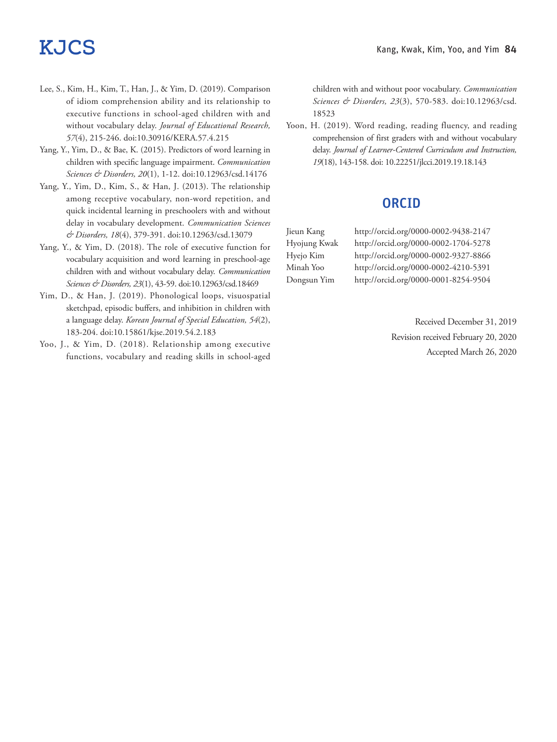- Lee, S., Kim, H., Kim, T., Han, J., & Yim, D. (2019). Comparison of idiom comprehension ability and its relationship to executive functions in school-aged children with and without vocabulary delay. *Journal of Educational Research, 57*(4), 215-246. doi:10.30916/KERA.57.4.215
- Yang, Y., Yim, D., & Bae, K. (2015). Predictors of word learning in children with specific language impairment. *Communication Sciences & Disorders, 20*(1), 1-12. doi:10.12963/csd.14176
- Yang, Y., Yim, D., Kim, S., & Han, J. (2013). The relationship among receptive vocabulary, non-word repetition, and quick incidental learning in preschoolers with and without delay in vocabulary development. *Communication Sciences & Disorders, 18*(4), 379-391. doi:10.12963/csd.13079
- Yang, Y., & Yim, D. (2018). The role of executive function for vocabulary acquisition and word learning in preschool-age children with and without vocabulary delay. *Communication Sciences & Disorders, 23*(1), 43-59. doi:10.12963/csd.18469
- Yim, D., & Han, J. (2019). Phonological loops, visuospatial sketchpad, episodic buffers, and inhibition in children with a language delay. *Korean Journal of Special Education, 54*(2), 183-204. doi:10.15861/kjse.2019.54.2.183
- Yoo, J., & Yim, D. (2018). Relationship among executive functions, vocabulary and reading skills in school-aged

children with and without poor vocabulary. *Communication Sciences & Disorders, 23*(3), 570-583. doi:10.12963/csd. 18523

Yoon, H. (2019). Word reading, reading fluency, and reading comprehension of first graders with and without vocabulary delay. *Journal of Learner-Centered Curriculum and Instruction, 19*(18), 143-158. doi: 10.22251/jlcci.2019.19.18.143

## ORCID

Jieun Kang http://orcid.org/0000-0002-9438-2147 Hyojung Kwak http://orcid.org/0000-0002-1704-5278 Hyejo Kim http://orcid.org/0000-0002-9327-8866 Minah Yoo http://orcid.org/0000-0002-4210-5391 Dongsun Yim http://orcid.org/0000-0001-8254-9504

> Received December 31, 2019 Revision received February 20, 2020 Accepted March 26, 2020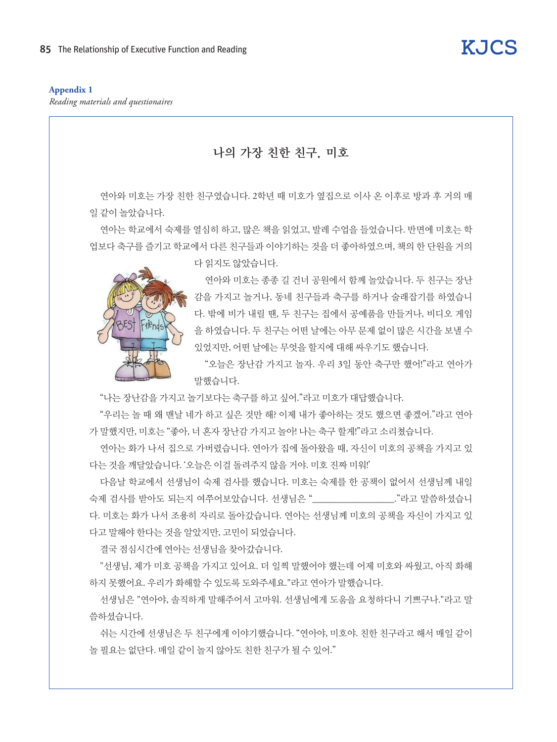## **Appendix 1**

*Reading materials and questionaires*



**KJCS** 

선생님은 "연아야, 솔직하게 말해주어서 고마워. 선생님에게 도움을 요청하다니 기쁘구나."라고 말 씀하셨습니다.

쉬는 시간에 선생님은 두 친구에게 이야기했습니다. "연아야, 미호야. 친한 친구라고 해서 매일 같이 놀 필요는 없단다. 매일 같이 놀지 않아도 친한 친구가 될 수 있어."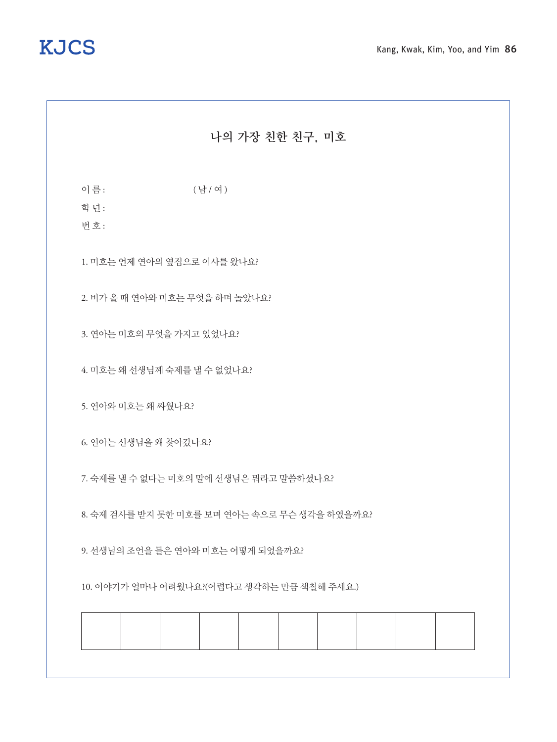## 나의 가장 친한 친구, 미호

이름: (남 / 여 )

학 년 :

번 호 :

1. 미호는 언제 연아의 옆집으로 이사를 왔나요?

2. 비가 올 때 연아와 미호는 무엇을 하며 놀았나요?

3. 연아는 미호의 무엇을 가지고 있었나요?

4. 미호는 왜 선생님께 숙제를 낼 수 없었나요?

5. 연아와 미호는 왜 싸웠나요?

6. 연아는 선생님을 왜 찾아갔나요?

7. 숙제를 낼 수 없다는 미호의 말에 선생님은 뭐라고 말씀하셨나요?

8. 숙제 검사를 받지 못한 미호를 보며 연아는 속으로 무슨 생각을 하였을까요?

9. 선생님의 조언을 들은 연아와 미호는 어떻게 되었을까요?

10. 이야기가 얼마나 어려웠나요?(어렵다고 생각하는 만큼 색칠해 주세요.)

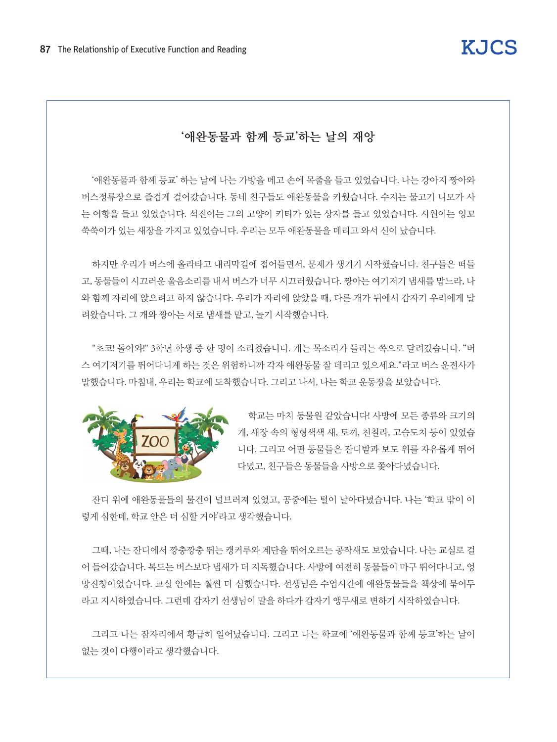## '애완동물과 함께 등교'하는 날의 재앙

'애완동물과 함께 등교' 하는 날에 나는 가방을 메고 손에 목줄을 들고 있었습니다. 나는 강아지 짱아와 버스정류장으로 즐겁게 걸어갔습니다. 동네 친구들도 애완동물을 키웠습니다. 수지는 물고기 니모가 사 는 어항을 들고 있었습니다. 석진이는 그의 고양이 키티가 있는 상자를 들고 있었습니다. 시원이는 잉꼬 쑥쑥이가 있는 새장을 가지고 있었습니다. 우리는 모두 애완동물을 데리고 와서 신이 났습니다.

하지만 우리가 버스에 올라타고 내리막길에 접어들면서, 문제가 생기기 시작했습니다. 친구들은 떠들 고, 동물들이 시끄러운 울음소리를 내서 버스가 너무 시끄러웠습니다. 짱아는 여기저기 냄새를 맡느라, 나 와 함께 자리에 앉으려고 하지 않습니다. 우리가 자리에 앉았을 때, 다른 개가 뒤에서 갑자기 우리에게 달 려왔습니다. 그 개와 짱아는 서로 냄새를 맡고, 놀기 시작했습니다.

"초코! 돌아와!" 3학년 학생 중 한 명이 소리쳤습니다. 개는 목소리가 들리는 쪽으로 달려갔습니다. "버 스 여기저기를 뛰어다니게 하는 것은 위험하니까 각자 애완동물 잘 데리고 있으세요."라고 버스 운전사가 말했습니다. 마침내, 우리는 학교에 도착했습니다. 그리고 나서, 나는 학교 운동장을 보았습니다.



학교는 마치 동물원 같았습니다! 사방에 모든 종류와 크기의 개, 새장 속의 형형색색 새, 토끼, 친칠라, 고슴도치 등이 있었습 니다. 그리고 어떤 동물들은 잔디밭과 보도 위를 자유롭게 뛰어 다녔고, 친구들은 동물들을 사방으로 쫓아다녔습니다.

잔디 위에 애완동물들의 물건이 널브러져 있었고, 공중에는 털이 날아다녔습니다. 나는 '학교 밖이 이 렇게 심한데, 학교 안은 더 심할 거야'라고 생각했습니다.

그때, 나는 잔디에서 깡충깡충 뛰는 캥커루와 계단을 뛰어오르는 공작새도 보았습니다. 나는 교실로 걸 어 들어갔습니다. 복도는 버스보다 냄새가 더 지독했습니다. 사방에 여전히 동물들이 마구 뛰어다니고, 엉 망진창이었습니다. 교실 안에는 훨씬 더 심했습니다. 선생님은 수업시간에 애완동물들을 책상에 묶어두 라고 지시하였습니다. 그런데 갑자기 선생님이 말을 하다가 갑자기 앵무새로 변하기 시작하였습니다.

그리고 나는 잠자리에서 황급히 일어났습니다. 그리고 나는 학교에 '애완동물과 함께 등교'하는 날이 없는 것이 다행이라고 생각했습니다.